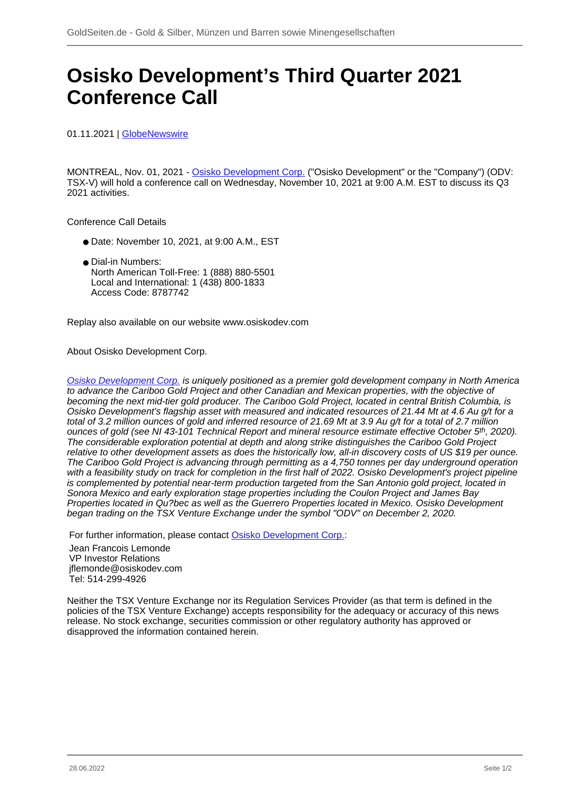## **Osisko Development's Third Quarter 2021 Conference Call**

01.11.2021 | [GlobeNewswire](/profil/261--GlobeNewswire)

MONTREAL, Nov. 01, 2021 - [Osisko Development Corp.](/minen/1212--Osisko-Development-Corp) ("Osisko Development" or the "Company") (ODV: TSX-V) will hold a conference call on Wednesday, November 10, 2021 at 9:00 A.M. EST to discuss its Q3 2021 activities.

Conference Call Details

- Date: November 10, 2021, at 9:00 A.M., EST
- Dial-in Numbers: North American Toll-Free: 1 (888) 880-5501 Local and International: 1 (438) 800-1833 Access Code: 8787742

Replay also available on our website www.osiskodev.com

About Osisko Development Corp.

[Osisko Development Corp.](/minen/1212--Osisko-Development-Corp) is uniquely positioned as a premier gold development company in North America to advance the Cariboo Gold Project and other Canadian and Mexican properties, with the objective of becoming the next mid-tier gold producer. The Cariboo Gold Project, located in central British Columbia, is Osisko Development's flagship asset with measured and indicated resources of 21.44 Mt at 4.6 Au g/t for a total of 3.2 million ounces of gold and inferred resource of 21.69 Mt at 3.9 Au g/t for a total of 2.7 million ounces of gold (see NI 43-101 Technical Report and mineral resource estimate effective October 5<sup>th</sup>, 2020). The considerable exploration potential at depth and along strike distinguishes the Cariboo Gold Project relative to other development assets as does the historically low, all-in discovery costs of US \$19 per ounce. The Cariboo Gold Project is advancing through permitting as a 4,750 tonnes per day underground operation with a feasibility study on track for completion in the first half of 2022. Osisko Development's project pipeline is complemented by potential near-term production targeted from the San Antonio gold project, located in Sonora Mexico and early exploration stage properties including the Coulon Project and James Bay Properties located in Qu?bec as well as the Guerrero Properties located in Mexico. Osisko Development began trading on the TSX Venture Exchange under the symbol "ODV" on December 2, 2020.

For further information, please contact [Osisko Development Corp.](/minen/1212--Osisko-Development-Corp): Jean Francois Lemonde VP Investor Relations jflemonde@osiskodev.com Tel: 514-299-4926

Neither the TSX Venture Exchange nor its Regulation Services Provider (as that term is defined in the policies of the TSX Venture Exchange) accepts responsibility for the adequacy or accuracy of this news release. No stock exchange, securities commission or other regulatory authority has approved or disapproved the information contained herein.